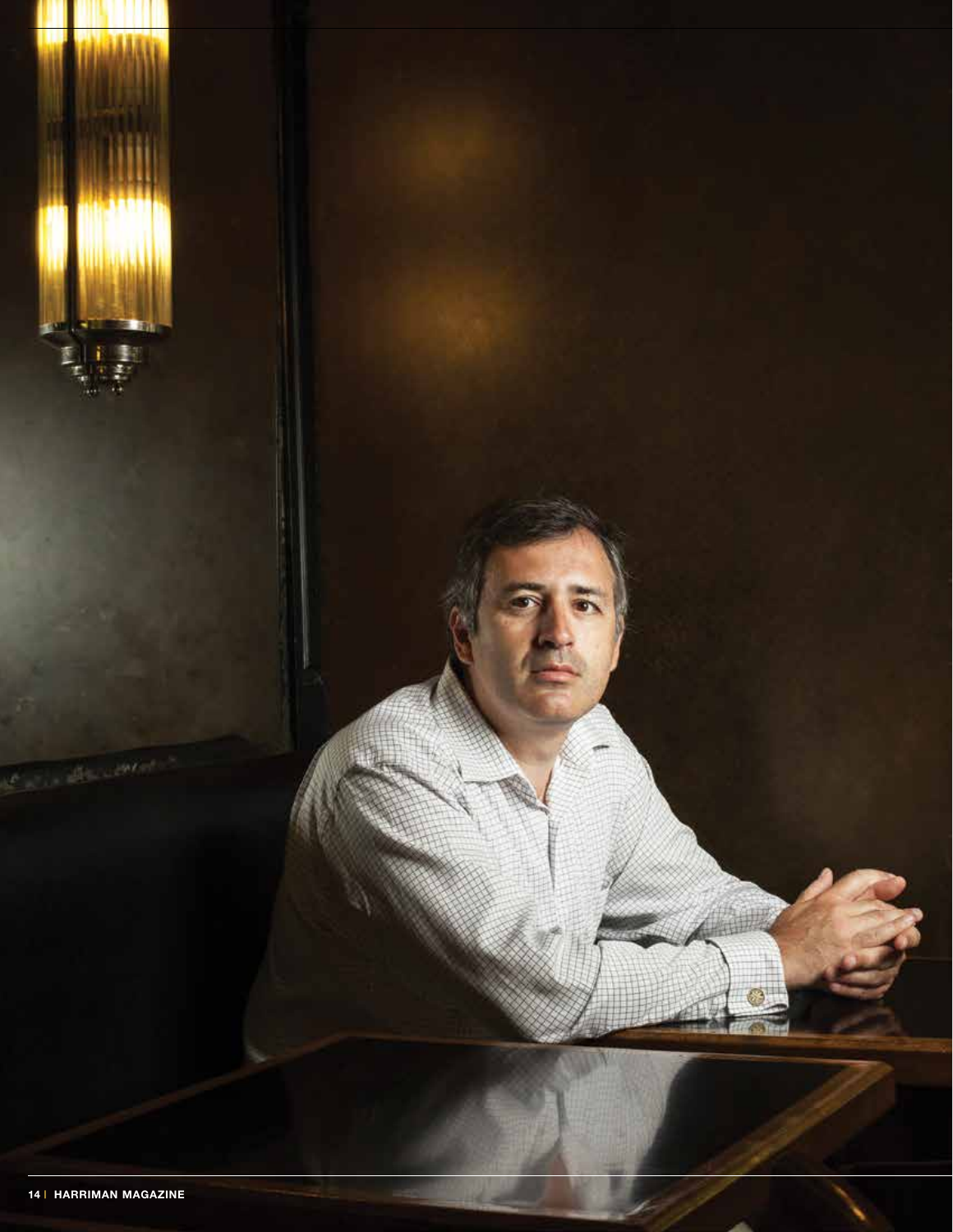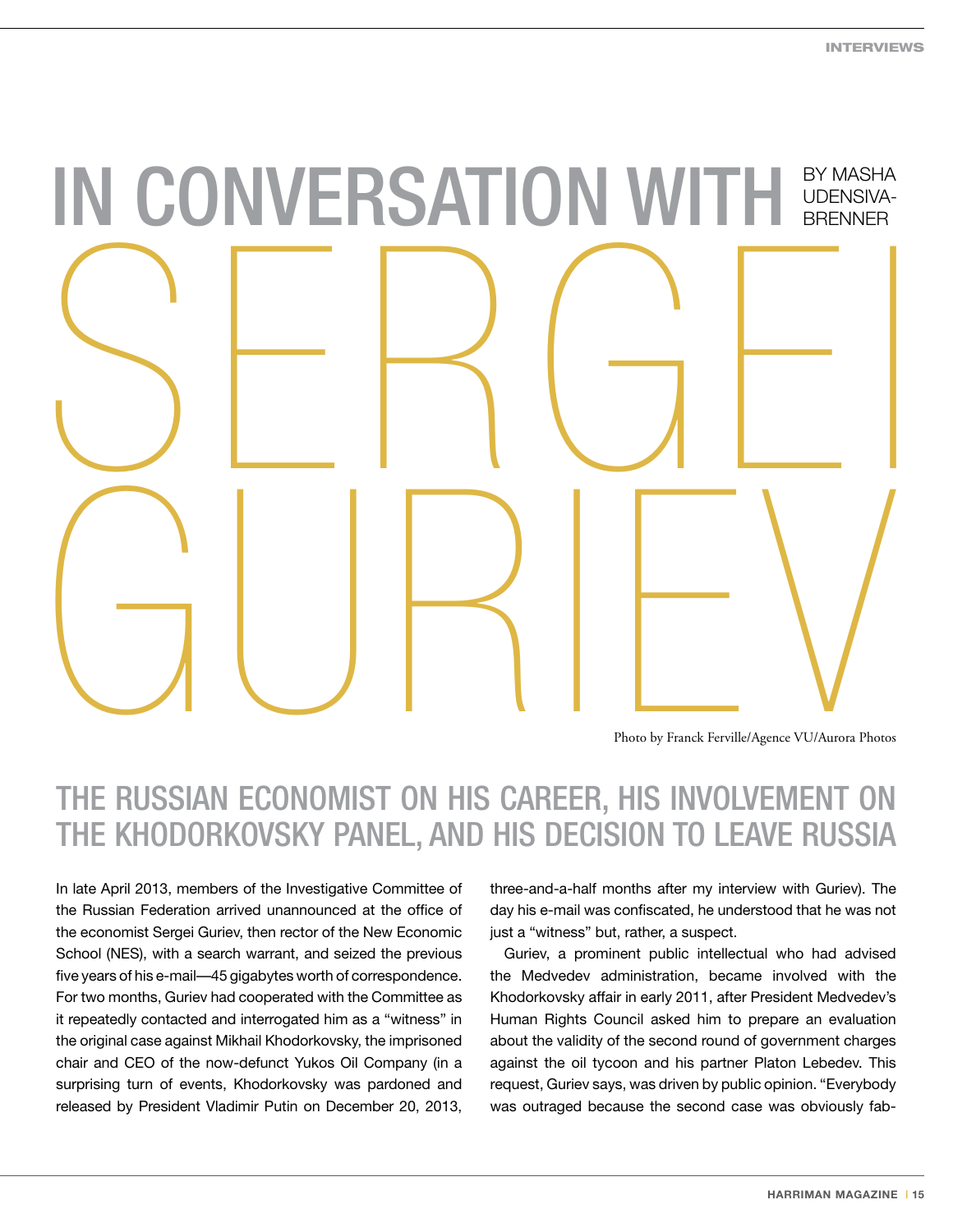

Photo by Franck Ferville/Agence VU/Aurora Photos

## The Russian Economist on his Career, his Involvement on the Khodorkovsky Panel, and his Decision to Leave Russia

In late April 2013, members of the Investigative Committee of the Russian Federation arrived unannounced at the office of the economist Sergei Guriev, then rector of the New Economic School (NES), with a search warrant, and seized the previous five years of his e-mail—45 gigabytes worth of correspondence. For two months, Guriev had cooperated with the Committee as it repeatedly contacted and interrogated him as a "witness" in the original case against Mikhail Khodorkovsky, the imprisoned chair and CEO of the now-defunct Yukos Oil Company (in a surprising turn of events, Khodorkovsky was pardoned and released by President Vladimir Putin on December 20, 2013,

three-and-a-half months after my interview with Guriev). The day his e-mail was confiscated, he understood that he was not just a "witness" but, rather, a suspect.

Guriev, a prominent public intellectual who had advised the Medvedev administration, became involved with the Khodorkovsky affair in early 2011, after President Medvedev's Human Rights Council asked him to prepare an evaluation about the validity of the second round of government charges against the oil tycoon and his partner Platon Lebedev. This request, Guriev says, was driven by public opinion. "Everybody was outraged because the second case was obviously fab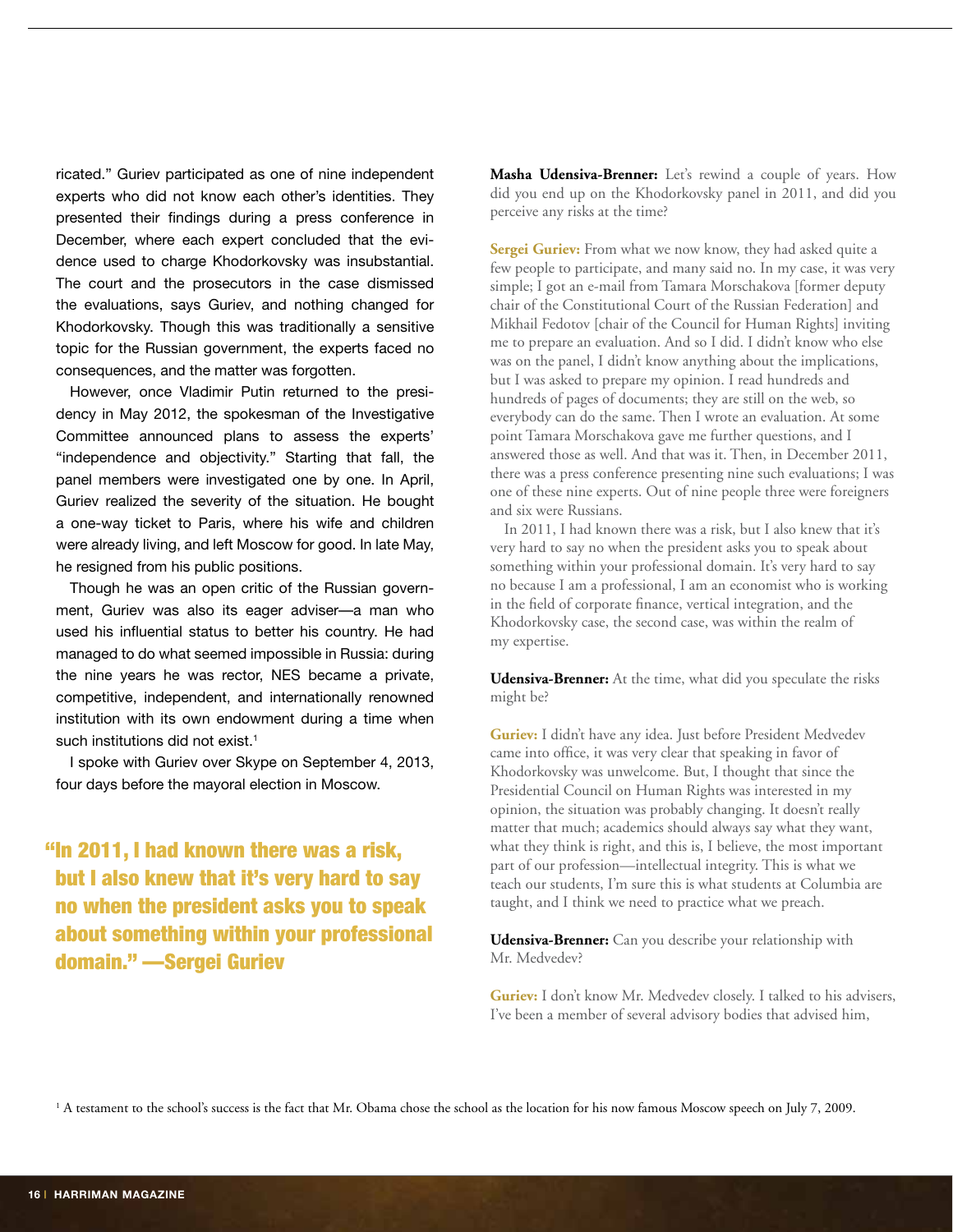ricated." Guriev participated as one of nine independent experts who did not know each other's identities. They presented their findings during a press conference in December, where each expert concluded that the evidence used to charge Khodorkovsky was insubstantial. The court and the prosecutors in the case dismissed the evaluations, says Guriev, and nothing changed for Khodorkovsky. Though this was traditionally a sensitive topic for the Russian government, the experts faced no consequences, and the matter was forgotten.

However, once Vladimir Putin returned to the presidency in May 2012, the spokesman of the Investigative Committee announced plans to assess the experts' "independence and objectivity." Starting that fall, the panel members were investigated one by one. In April, Guriev realized the severity of the situation. He bought a one-way ticket to Paris, where his wife and children were already living, and left Moscow for good. In late May, he resigned from his public positions.

Though he was an open critic of the Russian government, Guriev was also its eager adviser—a man who used his influential status to better his country. He had managed to do what seemed impossible in Russia: during the nine years he was rector, NES became a private, competitive, independent, and internationally renowned institution with its own endowment during a time when such institutions did not exist.<sup>1</sup>

I spoke with Guriev over Skype on September 4, 2013, four days before the mayoral election in Moscow.

"In 2011, I had known there was a risk, but I also knew that it's very hard to say no when the president asks you to speak about something within your professional domain." —Sergei Guriev

**Masha Udensiva-Brenner:** Let's rewind a couple of years. How did you end up on the Khodorkovsky panel in 2011, and did you perceive any risks at the time?

**Sergei Guriev:** From what we now know, they had asked quite a few people to participate, and many said no. In my case, it was very simple; I got an e-mail from Tamara Morschakova [former deputy chair of the Constitutional Court of the Russian Federation] and Mikhail Fedotov [chair of the Council for Human Rights] inviting me to prepare an evaluation. And so I did. I didn't know who else was on the panel, I didn't know anything about the implications, but I was asked to prepare my opinion. I read hundreds and hundreds of pages of documents; they are still on the web, so everybody can do the same. Then I wrote an evaluation. At some point Tamara Morschakova gave me further questions, and I answered those as well. And that was it. Then, in December 2011, there was a press conference presenting nine such evaluations; I was one of these nine experts. Out of nine people three were foreigners and six were Russians.

In 2011, I had known there was a risk, but I also knew that it's very hard to say no when the president asks you to speak about something within your professional domain. It's very hard to say no because I am a professional, I am an economist who is working in the field of corporate finance, vertical integration, and the Khodorkovsky case, the second case, was within the realm of my expertise.

**Udensiva-Brenner:** At the time, what did you speculate the risks might be?

**Guriev:** I didn't have any idea. Just before President Medvedev came into office, it was very clear that speaking in favor of Khodorkovsky was unwelcome. But, I thought that since the Presidential Council on Human Rights was interested in my opinion, the situation was probably changing. It doesn't really matter that much; academics should always say what they want, what they think is right, and this is, I believe, the most important part of our profession—intellectual integrity. This is what we teach our students, I'm sure this is what students at Columbia are taught, and I think we need to practice what we preach.

**Udensiva-Brenner:** Can you describe your relationship with Mr. Medvedev?

**Guriev:** I don't know Mr. Medvedev closely. I talked to his advisers, I've been a member of several advisory bodies that advised him,

<sup>1</sup> A testament to the school's success is the fact that Mr. Obama chose the school as the location for his now famous Moscow speech on July 7, 2009.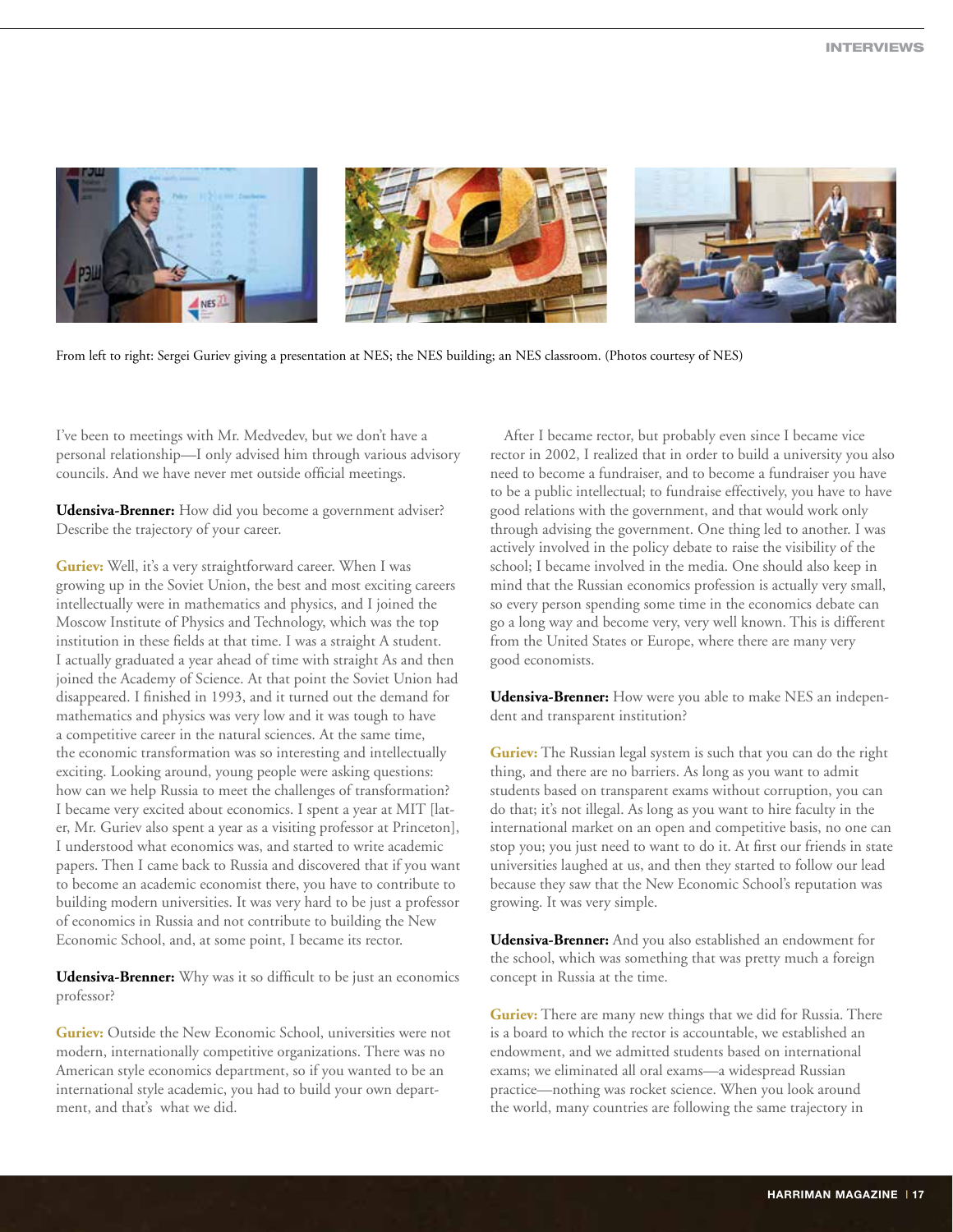

From left to right: Sergei Guriev giving a presentation at NES; the NES building; an NES classroom. (Photos courtesy of NES)

I've been to meetings with Mr. Medvedev, but we don't have a personal relationship—I only advised him through various advisory councils. And we have never met outside official meetings.

**Udensiva-Brenner:** How did you become a government adviser? Describe the trajectory of your career.

**Guriev:** Well, it's a very straightforward career. When I was growing up in the Soviet Union, the best and most exciting careers intellectually were in mathematics and physics, and I joined the Moscow Institute of Physics and Technology, which was the top institution in these fields at that time. I was a straight A student. I actually graduated a year ahead of time with straight As and then joined the Academy of Science. At that point the Soviet Union had disappeared. I finished in 1993, and it turned out the demand for mathematics and physics was very low and it was tough to have a competitive career in the natural sciences. At the same time, the economic transformation was so interesting and intellectually exciting. Looking around, young people were asking questions: how can we help Russia to meet the challenges of transformation? I became very excited about economics. I spent a year at MIT [later, Mr. Guriev also spent a year as a visiting professor at Princeton], I understood what economics was, and started to write academic papers. Then I came back to Russia and discovered that if you want to become an academic economist there, you have to contribute to building modern universities. It was very hard to be just a professor of economics in Russia and not contribute to building the New Economic School, and, at some point, I became its rector.

**Udensiva-Brenner:** Why was it so difficult to be just an economics professor?

**Guriev:** Outside the New Economic School, universities were not modern, internationally competitive organizations. There was no American style economics department, so if you wanted to be an international style academic, you had to build your own department, and that's what we did.

After I became rector, but probably even since I became vice rector in 2002, I realized that in order to build a university you also need to become a fundraiser, and to become a fundraiser you have to be a public intellectual; to fundraise effectively, you have to have good relations with the government, and that would work only through advising the government. One thing led to another. I was actively involved in the policy debate to raise the visibility of the school; I became involved in the media. One should also keep in mind that the Russian economics profession is actually very small, so every person spending some time in the economics debate can go a long way and become very, very well known. This is different from the United States or Europe, where there are many very good economists.

**Udensiva-Brenner:** How were you able to make NES an independent and transparent institution?

**Guriev:** The Russian legal system is such that you can do the right thing, and there are no barriers. As long as you want to admit students based on transparent exams without corruption, you can do that; it's not illegal. As long as you want to hire faculty in the international market on an open and competitive basis, no one can stop you; you just need to want to do it. At first our friends in state universities laughed at us, and then they started to follow our lead because they saw that the New Economic School's reputation was growing. It was very simple.

**Udensiva-Brenner:** And you also established an endowment for the school, which was something that was pretty much a foreign concept in Russia at the time.

**Guriev:** There are many new things that we did for Russia. There is a board to which the rector is accountable, we established an endowment, and we admitted students based on international exams; we eliminated all oral exams—a widespread Russian practice—nothing was rocket science. When you look around the world, many countries are following the same trajectory in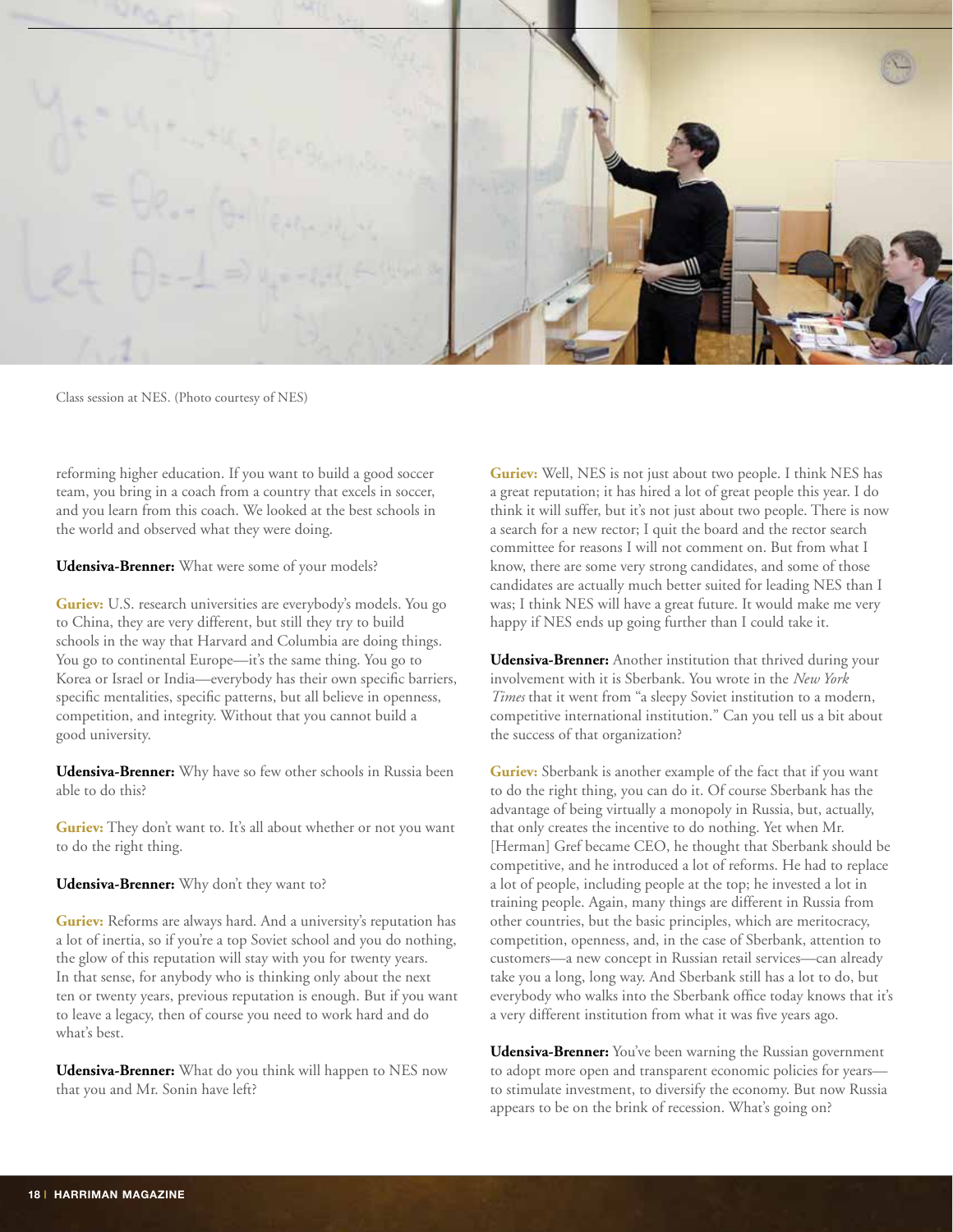

Class session at NES. (Photo courtesy of NES)

reforming higher education. If you want to build a good soccer team, you bring in a coach from a country that excels in soccer, and you learn from this coach. We looked at the best schools in the world and observed what they were doing.

**Udensiva-Brenner:** What were some of your models?

Guriev: U.S. research universities are everybody's models. You go to China, they are very different, but still they try to build schools in the way that Harvard and Columbia are doing things. You go to continental Europe—it's the same thing. You go to Korea or Israel or India—everybody has their own specific barriers, specific mentalities, specific patterns, but all believe in openness, competition, and integrity. Without that you cannot build a good university.

**Udensiva-Brenner:** Why have so few other schools in Russia been able to do this?

**Guriev:** They don't want to. It's all about whether or not you want to do the right thing.

**Udensiva-Brenner:** Why don't they want to?

**Guriev:** Reforms are always hard. And a university's reputation has a lot of inertia, so if you're a top Soviet school and you do nothing, the glow of this reputation will stay with you for twenty years. In that sense, for anybody who is thinking only about the next ten or twenty years, previous reputation is enough. But if you want to leave a legacy, then of course you need to work hard and do what's best.

**Udensiva-Brenner:** What do you think will happen to NES now that you and Mr. Sonin have left?

**Guriev:** Well, NES is not just about two people. I think NES has a great reputation; it has hired a lot of great people this year. I do think it will suffer, but it's not just about two people. There is now a search for a new rector; I quit the board and the rector search committee for reasons I will not comment on. But from what I know, there are some very strong candidates, and some of those candidates are actually much better suited for leading NES than I was; I think NES will have a great future. It would make me very happy if NES ends up going further than I could take it.

**Udensiva-Brenner:** Another institution that thrived during your involvement with it is Sberbank. You wrote in the *New York Times* that it went from "a sleepy Soviet institution to a modern, competitive international institution." Can you tell us a bit about the success of that organization?

**Guriev:** Sberbank is another example of the fact that if you want to do the right thing, you can do it. Of course Sberbank has the advantage of being virtually a monopoly in Russia, but, actually, that only creates the incentive to do nothing. Yet when Mr. [Herman] Gref became CEO, he thought that Sberbank should be competitive, and he introduced a lot of reforms. He had to replace a lot of people, including people at the top; he invested a lot in training people. Again, many things are different in Russia from other countries, but the basic principles, which are meritocracy, competition, openness, and, in the case of Sberbank, attention to customers—a new concept in Russian retail services—can already take you a long, long way. And Sberbank still has a lot to do, but everybody who walks into the Sberbank office today knows that it's a very different institution from what it was five years ago.

**Udensiva-Brenner:** You've been warning the Russian government to adopt more open and transparent economic policies for years to stimulate investment, to diversify the economy. But now Russia appears to be on the brink of recession. What's going on?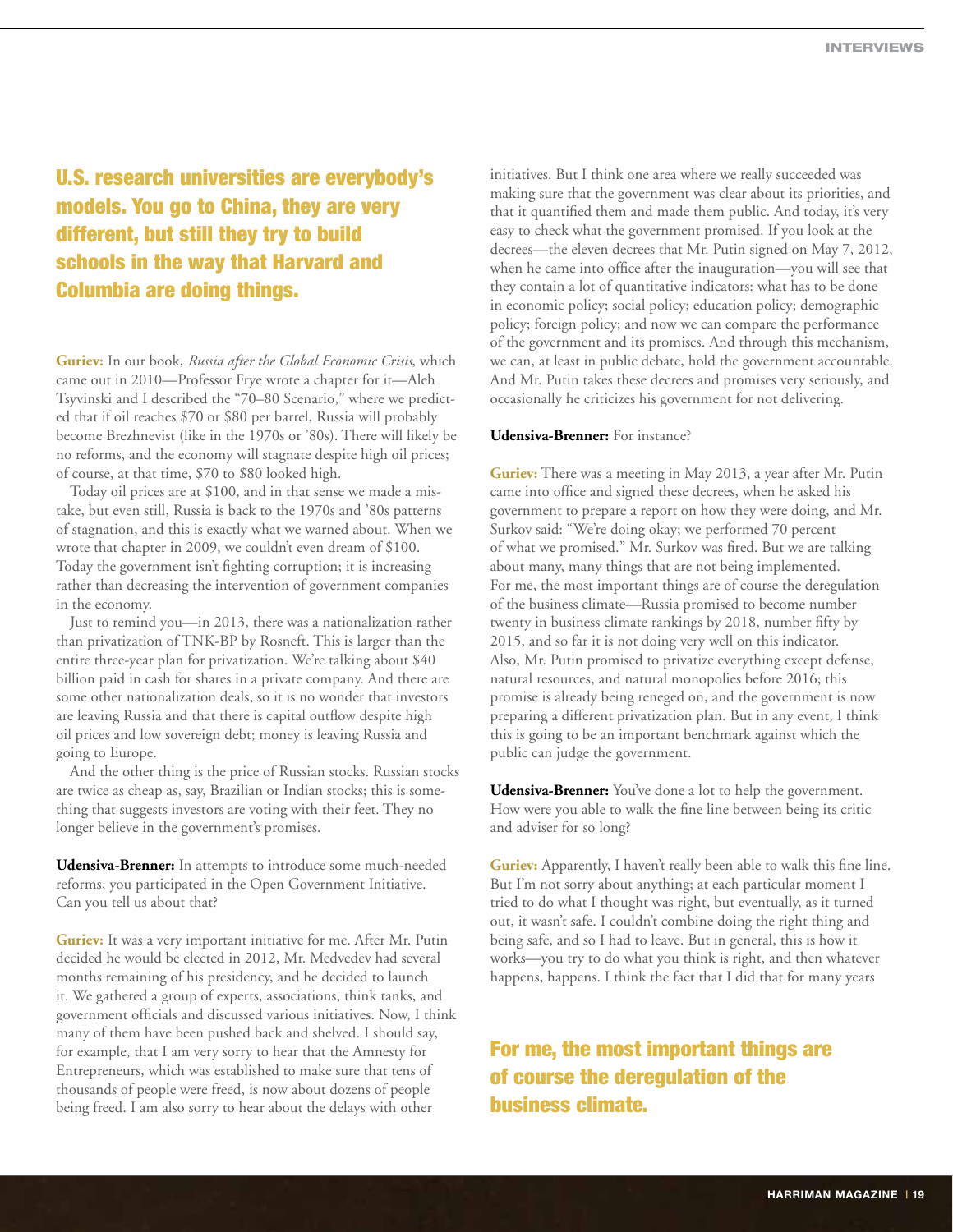## U.S. research universities are everybody's models. You go to China, they are very different, but still they try to build schools in the way that Harvard and Columbia are doing things.

**Guriev:** In our book, *Russia after the Global Economic Crisis*, which came out in 2010—Professor Frye wrote a chapter for it—Aleh Tsyvinski and I described the "70–80 Scenario," where we predicted that if oil reaches \$70 or \$80 per barrel, Russia will probably become Brezhnevist (like in the 1970s or '80s). There will likely be no reforms, and the economy will stagnate despite high oil prices; of course, at that time, \$70 to \$80 looked high.

Today oil prices are at \$100, and in that sense we made a mistake, but even still, Russia is back to the 1970s and '80s patterns of stagnation, and this is exactly what we warned about. When we wrote that chapter in 2009, we couldn't even dream of \$100. Today the government isn't fighting corruption; it is increasing rather than decreasing the intervention of government companies in the economy.

Just to remind you—in 2013, there was a nationalization rather than privatization of TNK-BP by Rosneft. This is larger than the entire three-year plan for privatization. We're talking about \$40 billion paid in cash for shares in a private company. And there are some other nationalization deals, so it is no wonder that investors are leaving Russia and that there is capital outflow despite high oil prices and low sovereign debt; money is leaving Russia and going to Europe.

And the other thing is the price of Russian stocks. Russian stocks are twice as cheap as, say, Brazilian or Indian stocks; this is something that suggests investors are voting with their feet. They no longer believe in the government's promises.

**Udensiva-Brenner:** In attempts to introduce some much-needed reforms, you participated in the Open Government Initiative. Can you tell us about that?

**Guriev:** It was a very important initiative for me. After Mr. Putin decided he would be elected in 2012, Mr. Medvedev had several months remaining of his presidency, and he decided to launch it. We gathered a group of experts, associations, think tanks, and government officials and discussed various initiatives. Now, I think many of them have been pushed back and shelved. I should say, for example, that I am very sorry to hear that the Amnesty for Entrepreneurs, which was established to make sure that tens of thousands of people were freed, is now about dozens of people being freed. I am also sorry to hear about the delays with other

initiatives. But I think one area where we really succeeded was making sure that the government was clear about its priorities, and that it quantified them and made them public. And today, it's very easy to check what the government promised. If you look at the decrees—the eleven decrees that Mr. Putin signed on May 7, 2012, when he came into office after the inauguration—you will see that they contain a lot of quantitative indicators: what has to be done in economic policy; social policy; education policy; demographic policy; foreign policy; and now we can compare the performance of the government and its promises. And through this mechanism, we can, at least in public debate, hold the government accountable. And Mr. Putin takes these decrees and promises very seriously, and occasionally he criticizes his government for not delivering.

## **Udensiva-Brenner:** For instance?

**Guriev:** There was a meeting in May 2013, a year after Mr. Putin came into office and signed these decrees, when he asked his government to prepare a report on how they were doing, and Mr. Surkov said: "We're doing okay; we performed 70 percent of what we promised." Mr. Surkov was fired. But we are talking about many, many things that are not being implemented. For me, the most important things are of course the deregulation of the business climate—Russia promised to become number twenty in business climate rankings by 2018, number fifty by 2015, and so far it is not doing very well on this indicator. Also, Mr. Putin promised to privatize everything except defense, natural resources, and natural monopolies before 2016; this promise is already being reneged on, and the government is now preparing a different privatization plan. But in any event, I think this is going to be an important benchmark against which the public can judge the government.

**Udensiva-Brenner:** You've done a lot to help the government. How were you able to walk the fine line between being its critic and adviser for so long?

Guriev: Apparently, I haven't really been able to walk this fine line. But I'm not sorry about anything; at each particular moment I tried to do what I thought was right, but eventually, as it turned out, it wasn't safe. I couldn't combine doing the right thing and being safe, and so I had to leave. But in general, this is how it works—you try to do what you think is right, and then whatever happens, happens. I think the fact that I did that for many years

For me, the most important things are of course the deregulation of the business climate.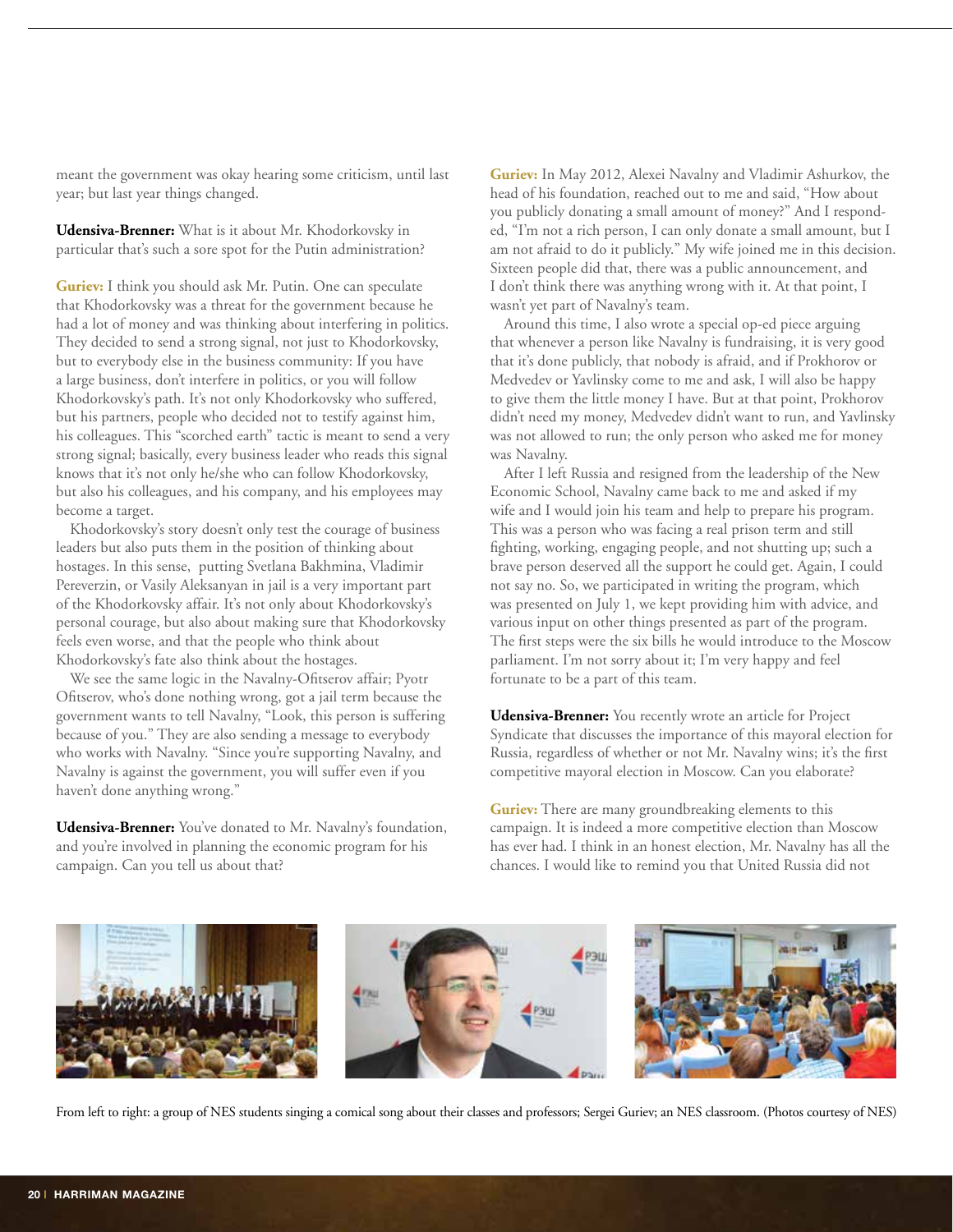meant the government was okay hearing some criticism, until last year; but last year things changed.

**Udensiva-Brenner:** What is it about Mr. Khodorkovsky in particular that's such a sore spot for the Putin administration?

**Guriev:** I think you should ask Mr. Putin. One can speculate that Khodorkovsky was a threat for the government because he had a lot of money and was thinking about interfering in politics. They decided to send a strong signal, not just to Khodorkovsky, but to everybody else in the business community: If you have a large business, don't interfere in politics, or you will follow Khodorkovsky's path. It's not only Khodorkovsky who suffered, but his partners, people who decided not to testify against him, his colleagues. This "scorched earth" tactic is meant to send a very strong signal; basically, every business leader who reads this signal knows that it's not only he/she who can follow Khodorkovsky, but also his colleagues, and his company, and his employees may become a target.

Khodorkovsky's story doesn't only test the courage of business leaders but also puts them in the position of thinking about hostages. In this sense, putting Svetlana Bakhmina, Vladimir Pereverzin, or Vasily Aleksanyan in jail is a very important part of the Khodorkovsky affair. It's not only about Khodorkovsky's personal courage, but also about making sure that Khodorkovsky feels even worse, and that the people who think about Khodorkovsky's fate also think about the hostages.

We see the same logic in the Navalny-Ofitserov affair; Pyotr Ofitserov, who's done nothing wrong, got a jail term because the government wants to tell Navalny, "Look, this person is suffering because of you." They are also sending a message to everybody who works with Navalny. "Since you're supporting Navalny, and Navalny is against the government, you will suffer even if you haven't done anything wrong."

**Udensiva-Brenner:** You've donated to Mr. Navalny's foundation, and you're involved in planning the economic program for his campaign. Can you tell us about that?

**Guriev:** In May 2012, Alexei Navalny and Vladimir Ashurkov, the head of his foundation, reached out to me and said, "How about you publicly donating a small amount of money?" And I responded, "I'm not a rich person, I can only donate a small amount, but I am not afraid to do it publicly." My wife joined me in this decision. Sixteen people did that, there was a public announcement, and I don't think there was anything wrong with it. At that point, I wasn't yet part of Navalny's team.

Around this time, I also wrote a special op-ed piece arguing that whenever a person like Navalny is fundraising, it is very good that it's done publicly, that nobody is afraid, and if Prokhorov or Medvedev or Yavlinsky come to me and ask, I will also be happy to give them the little money I have. But at that point, Prokhorov didn't need my money, Medvedev didn't want to run, and Yavlinsky was not allowed to run; the only person who asked me for money was Navalny.

After I left Russia and resigned from the leadership of the New Economic School, Navalny came back to me and asked if my wife and I would join his team and help to prepare his program. This was a person who was facing a real prison term and still fighting, working, engaging people, and not shutting up; such a brave person deserved all the support he could get. Again, I could not say no. So, we participated in writing the program, which was presented on July 1, we kept providing him with advice, and various input on other things presented as part of the program. The first steps were the six bills he would introduce to the Moscow parliament. I'm not sorry about it; I'm very happy and feel fortunate to be a part of this team.

**Udensiva-Brenner:** You recently wrote an article for Project Syndicate that discusses the importance of this mayoral election for Russia, regardless of whether or not Mr. Navalny wins; it's the first competitive mayoral election in Moscow. Can you elaborate?

**Guriev:** There are many groundbreaking elements to this campaign. It is indeed a more competitive election than Moscow has ever had. I think in an honest election, Mr. Navalny has all the chances. I would like to remind you that United Russia did not



From left to right: a group of NES students singing a comical song about their classes and professors; Sergei Guriev; an NES classroom. (Photos courtesy of NES)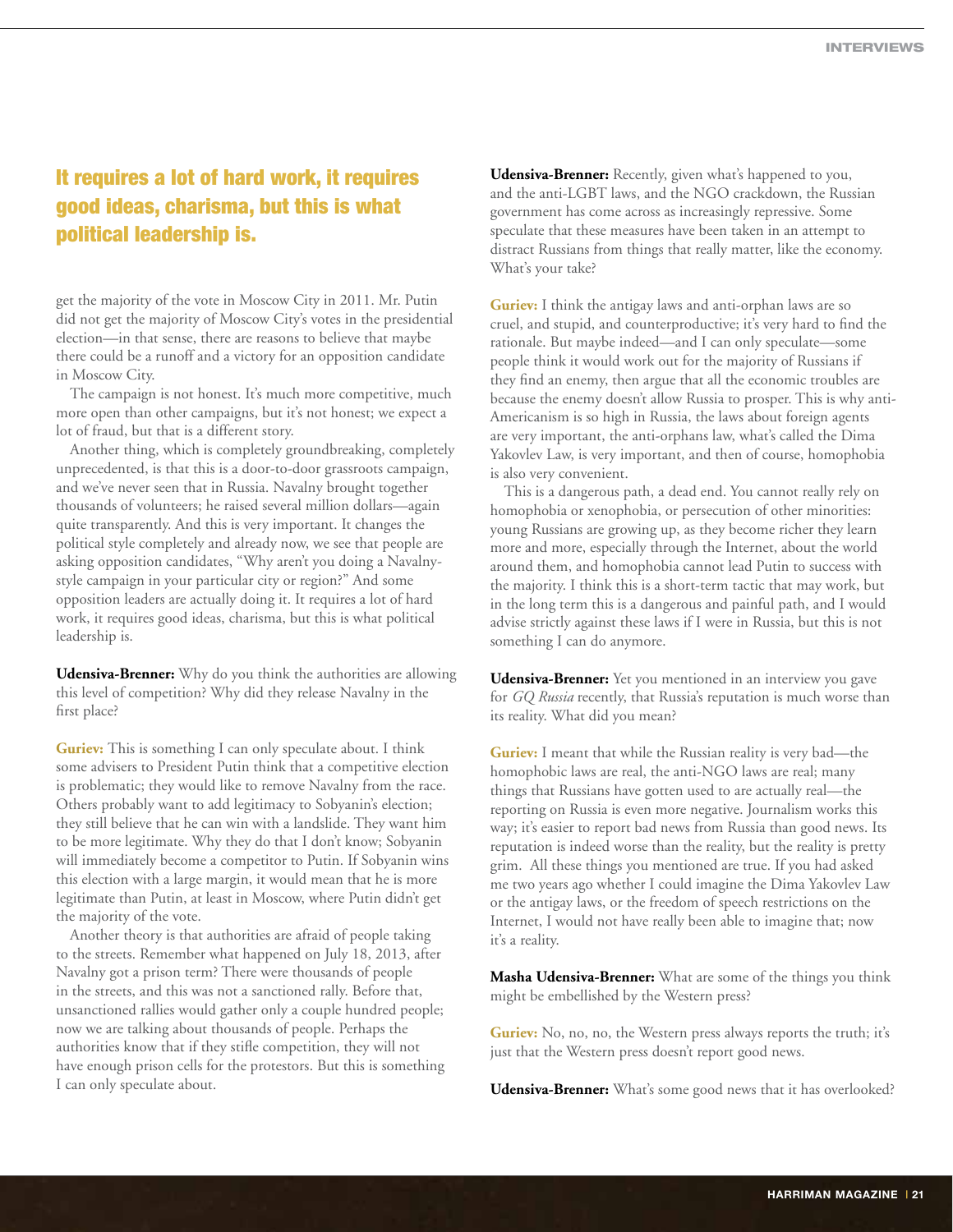## It requires a lot of hard work, it requires good ideas, charisma, but this is what political leadership is.

get the majority of the vote in Moscow City in 2011. Mr. Putin did not get the majority of Moscow City's votes in the presidential election—in that sense, there are reasons to believe that maybe there could be a runoff and a victory for an opposition candidate in Moscow City.

The campaign is not honest. It's much more competitive, much more open than other campaigns, but it's not honest; we expect a lot of fraud, but that is a different story.

Another thing, which is completely groundbreaking, completely unprecedented, is that this is a door-to-door grassroots campaign, and we've never seen that in Russia. Navalny brought together thousands of volunteers; he raised several million dollars—again quite transparently. And this is very important. It changes the political style completely and already now, we see that people are asking opposition candidates, "Why aren't you doing a Navalnystyle campaign in your particular city or region?" And some opposition leaders are actually doing it. It requires a lot of hard work, it requires good ideas, charisma, but this is what political leadership is.

**Udensiva-Brenner:** Why do you think the authorities are allowing this level of competition? Why did they release Navalny in the first place?

**Guriev:** This is something I can only speculate about. I think some advisers to President Putin think that a competitive election is problematic; they would like to remove Navalny from the race. Others probably want to add legitimacy to Sobyanin's election; they still believe that he can win with a landslide. They want him to be more legitimate. Why they do that I don't know; Sobyanin will immediately become a competitor to Putin. If Sobyanin wins this election with a large margin, it would mean that he is more legitimate than Putin, at least in Moscow, where Putin didn't get the majority of the vote.

Another theory is that authorities are afraid of people taking to the streets. Remember what happened on July 18, 2013, after Navalny got a prison term? There were thousands of people in the streets, and this was not a sanctioned rally. Before that, unsanctioned rallies would gather only a couple hundred people; now we are talking about thousands of people. Perhaps the authorities know that if they stifle competition, they will not have enough prison cells for the protestors. But this is something I can only speculate about.

**Udensiva-Brenner:** Recently, given what's happened to you, and the anti-LGBT laws, and the NGO crackdown, the Russian government has come across as increasingly repressive. Some speculate that these measures have been taken in an attempt to distract Russians from things that really matter, like the economy. What's your take?

**Guriev:** I think the antigay laws and anti-orphan laws are so cruel, and stupid, and counterproductive; it's very hard to find the rationale. But maybe indeed—and I can only speculate—some people think it would work out for the majority of Russians if they find an enemy, then argue that all the economic troubles are because the enemy doesn't allow Russia to prosper. This is why anti-Americanism is so high in Russia, the laws about foreign agents are very important, the anti-orphans law, what's called the Dima Yakovlev Law, is very important, and then of course, homophobia is also very convenient.

This is a dangerous path, a dead end. You cannot really rely on homophobia or xenophobia, or persecution of other minorities: young Russians are growing up, as they become richer they learn more and more, especially through the Internet, about the world around them, and homophobia cannot lead Putin to success with the majority. I think this is a short-term tactic that may work, but in the long term this is a dangerous and painful path, and I would advise strictly against these laws if I were in Russia, but this is not something I can do anymore.

**Udensiva-Brenner:** Yet you mentioned in an interview you gave for *GQ Russia* recently, that Russia's reputation is much worse than its reality. What did you mean?

**Guriev:** I meant that while the Russian reality is very bad—the homophobic laws are real, the anti-NGO laws are real; many things that Russians have gotten used to are actually real—the reporting on Russia is even more negative. Journalism works this way; it's easier to report bad news from Russia than good news. Its reputation is indeed worse than the reality, but the reality is pretty grim. All these things you mentioned are true. If you had asked me two years ago whether I could imagine the Dima Yakovlev Law or the antigay laws, or the freedom of speech restrictions on the Internet, I would not have really been able to imagine that; now it's a reality.

**Masha Udensiva-Brenner:** What are some of the things you think might be embellished by the Western press?

Guriev: No, no, no, the Western press always reports the truth; it's just that the Western press doesn't report good news.

**Udensiva-Brenner:** What's some good news that it has overlooked?